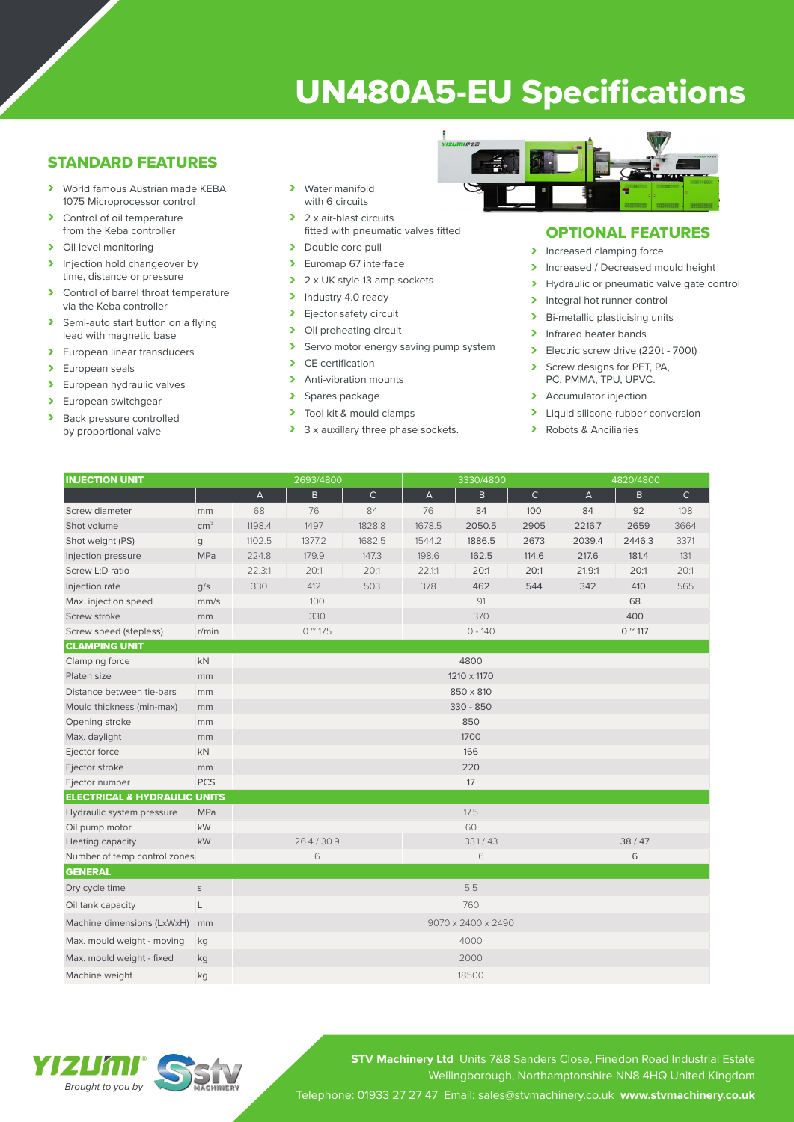# UN480A5-EU Specifications

## STANDARD FEATURES

- › World famous Austrian made KEBA 1075 Microprocessor control
- > Control of oil temperature from the Keba controller
- > Oil level monitoring
- > Injection hold changeover by time, distance or pressure
- > Control of barrel throat temperature via the Keba controller
- > Semi-auto start button on a flying lead with magnetic base
- > European linear transducers
- > European seals
- > European hydraulic valves
- > European switchgear<br>
> Back pressure control
- Back pressure controlled by proportional valve
- › Water manifold with 6 circuits
- > 2 x air-blast circuits fitted with pneumatic valves fitted
- > Double core pull
- > Euromap 67 interface
- $\geq 2 \times UK$  style 13 amp sockets<br>  $\geq 1$ ndustry 4.0 ready
- Industry 4.0 ready
- > Ejector safety circuit<br>> Oil preheating circuit
- Oil preheating circuit
- > Servo motor energy saving pump system<br>
> CE certification
- CE certification
- > Anti-vibration mounts
- > Spares package<br>> Tool kit & mould
- Tool kit & mould clamps
- > 3 x auxillary three phase sockets.



## OPTIONAL FEATURES

- > Increased clamping force
- Increased / Decreased mould height<br>
Invealing the proportional valve date contract of
- Hydraulic or pneumatic valve gate control
- > Integral hot runner control
- > Bi-metallic plasticising units
- > Infrared heater bands
- › Electric screw drive (220t 700t)
- Screw designs for PET, PA, PC, PMMA, TPU, UPVC.
- > Accumulator injection
- > Liquid silicone rubber conversion
- › Robots & Anciliaries

| <b>INJECTION UNIT</b>                   |                 | 2693/4800          |        |              | 3330/4800      |        |              | 4820/4800       |        |              |  |
|-----------------------------------------|-----------------|--------------------|--------|--------------|----------------|--------|--------------|-----------------|--------|--------------|--|
|                                         |                 | $\overline{A}$     | B.     | $\mathsf{C}$ | $\overline{A}$ | B      | $\mathsf{C}$ | $\mathsf{A}$    | B      | $\mathsf{C}$ |  |
| Screw diameter                          | mm              | 68                 | 76     | 84           | 76             | 84     | 100          | 84              | 92     | 108          |  |
| Shot volume                             | cm <sup>3</sup> | 1198.4             | 1497   | 1828.8       | 1678.5         | 2050.5 | 2905         | 2216.7          | 2659   | 3664         |  |
| Shot weight (PS)                        | g               | 1102.5             | 1377.2 | 1682.5       | 1544.2         | 1886.5 | 2673         | 2039.4          | 2446.3 | 3371         |  |
| Injection pressure                      | MPa             | 224.8              | 179.9  | 147.3        | 198.6          | 162.5  | 114.6        | 217.6           | 181.4  | 131          |  |
| Screw L:D ratio                         |                 | 22.3:1             | 20:1   | 20:1         | 22.1:1         | 20:1   | 20:1         | 21.9:1          | 20:1   | 20:1         |  |
| Injection rate                          | q/s             | 330                | 412    | 503          | 378            | 462    | 544          | 342             | 410    | 565          |  |
| Max. injection speed                    | mm/s            | 100                |        |              | 91             |        |              | 68              |        |              |  |
| Screw stroke                            | mm              | 330                |        |              | 370            |        |              | 400             |        |              |  |
| Screw speed (stepless)                  | r/min           | $0^{\circ}$ 175    |        |              | $0 - 140$      |        |              | $0^{\circ}$ 117 |        |              |  |
| <b>CLAMPING UNIT</b>                    |                 |                    |        |              |                |        |              |                 |        |              |  |
| Clamping force                          | kN              | 4800               |        |              |                |        |              |                 |        |              |  |
| Platen size                             | mm              | 1210 x 1170        |        |              |                |        |              |                 |        |              |  |
| Distance between tie-bars               | mm              | 850 x 810          |        |              |                |        |              |                 |        |              |  |
| Mould thickness (min-max)               | mm              | $330 - 850$        |        |              |                |        |              |                 |        |              |  |
| Opening stroke                          | mm              | 850                |        |              |                |        |              |                 |        |              |  |
| Max. daylight                           | mm              | 1700               |        |              |                |        |              |                 |        |              |  |
| Ejector force                           | kN              | 166                |        |              |                |        |              |                 |        |              |  |
| Ejector stroke                          | mm              |                    |        |              |                |        | 220          |                 |        |              |  |
| Ejector number                          | <b>PCS</b>      |                    |        |              |                | 17     |              |                 |        |              |  |
| <b>ELECTRICAL &amp; HYDRAULIC UNITS</b> |                 |                    |        |              |                |        |              |                 |        |              |  |
| Hydraulic system pressure               | <b>MPa</b>      |                    |        |              | 17.5           |        |              |                 |        |              |  |
| Oil pump motor                          | kW              |                    |        |              | 60             |        |              |                 |        |              |  |
| Heating capacity                        | kW              | 26.4/30.9          |        |              | 33.1 / 43      |        |              | 38/47           |        |              |  |
| Number of temp control zones            |                 | 6                  |        |              | 6              |        |              | 6               |        |              |  |
| <b>GENERAL</b>                          |                 |                    |        |              |                |        |              |                 |        |              |  |
| Dry cycle time                          | $\mathsf{S}$    |                    |        |              |                | 5.5    |              |                 |        |              |  |
| Oil tank capacity                       | L               | 760                |        |              |                |        |              |                 |        |              |  |
| Machine dimensions (LxWxH)              | mm              | 9070 x 2400 x 2490 |        |              |                |        |              |                 |        |              |  |
| Max. mould weight - moving              | kg              | 4000               |        |              |                |        |              |                 |        |              |  |
| Max. mould weight - fixed               | kg              | 2000               |        |              |                |        |              |                 |        |              |  |
| Machine weight                          | kg              | 18500              |        |              |                |        |              |                 |        |              |  |



**STV Machinery Ltd** Units 7&8 Sanders Close, Finedon Road Industrial Estate Wellingborough, Northamptonshire NN8 4HQ United Kingdom Telephone: 01933 27 27 47 Email: sales@stvmachinery.co.uk **www.stvmachinery.co.uk**